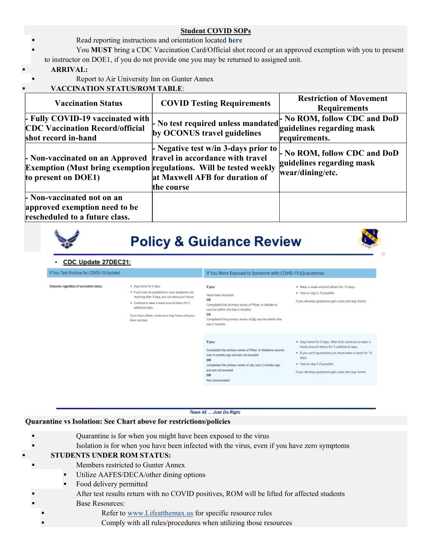## Student COVID SOPs

- Read reporting instructions and orientation located here
- You MUST bring a CDC Vaccination Card/Official shot record or an approved exemption with you to present to instructor on DOE1, if you do not provide one you may be returned to assigned unit.

## ARRIVAL:

Report to Air University Inn on Gunter Annex

# VACCINATION STATUS/ROM TABLE:

| <b>Vaccination Status</b>                                                                                                                                              | <b>COVID Testing Requirements</b>                                                                                                                     | <b>Restriction of Movement</b><br><b>Requirements</b>                         |
|------------------------------------------------------------------------------------------------------------------------------------------------------------------------|-------------------------------------------------------------------------------------------------------------------------------------------------------|-------------------------------------------------------------------------------|
| Fully COVID-19 vaccinated with<br><b>CDC Vaccination Record/official</b><br>shot record in-hand                                                                        | No test required unless mandated $\bigg  \begin{array}{c} \text{No ROM, follow CDC and DoD} \\ \text{or } \end{array}$<br>by OCONUS travel guidelines | guidelines regarding mask<br>requirements.                                    |
| - Non-vaccinated on an Approved   travel in accordance with travel<br><b>Exemption (Must bring exemption regulations. Will be tested weekly</b><br>to present on DOE1) | $\vdash$ Negative test w/in 3-days prior to<br>at Maxwell AFB for duration of<br>the course                                                           | - No ROM, follow CDC and DoD<br>guidelines regarding mask<br>wear/dining/etc. |
| - Non-vaccinated not on an<br>approved exemption need to be<br>rescheduled to a future class.                                                                          |                                                                                                                                                       |                                                                               |

**Policy & Guidance Review** 

### CDC Update 27DEC21:

| If You Test Positive for COVID-19 (Isolate) |                                                                                                                                                                                                                                                                                 | If You Were Exposed to Someone with COVID-19 (Quarantine)                                                                                                                                                                      |                                                                                                                                                                                                                                                           |
|---------------------------------------------|---------------------------------------------------------------------------------------------------------------------------------------------------------------------------------------------------------------------------------------------------------------------------------|--------------------------------------------------------------------------------------------------------------------------------------------------------------------------------------------------------------------------------|-----------------------------------------------------------------------------------------------------------------------------------------------------------------------------------------------------------------------------------------------------------|
| Everyone, regardless of vaccination status. | · Stay home for 5 days.<br>. If you have no symptoms or your symptoms are<br>resolving after 5 days, you can leave your house.<br>· Continue to wear a mask around others for 5<br>additional days.<br>If you have a fever, continue to stay home until your<br>fever resolves. | If you:<br>Have been boosted<br>OR<br>Completed the primary series of Pfizer or Moderna<br>vaccine within the last 6 months<br>OR<br>Completed the primary series of [8] vaccine within the<br>last 2 months                   | . Wear a mask around others for 10 days.<br>· Test on day 5. if possible.<br>If you develop symptoms get a test and stay home.                                                                                                                            |
|                                             |                                                                                                                                                                                                                                                                                 | If you:<br>Completed the primary series of Pfizer or Moderna vaccine<br>over 6 months ago and are not boosted<br>OR<br>Completed the primary series of J&J over 2 months ago<br>and are not boosted.<br>OR<br>Are unvaccinated | . Stay home for 5 days. After that continue to wear a<br>mask around others for 5 additional days.<br>. If you can't quarantine you must wear a mask for 10.<br>days.<br>· Test on day 5 if possible.<br>If you develop symptoms get a test and stay home |

#### Team 42 ... Just Do Right

# Quarantine vs Isolation: See Chart above for restrictions/policies

- Quarantine is for when you might have been exposed to the virus
- Isolation is for when you have been infected with the virus, even if you have zero symptoms

# STUDENTS UNDER ROM STATUS:

- Members restricted to Gunter Annex
- Utilize AAFES/DECA/other dining options
- Food delivery permitted
- After test results return with no COVID positives, ROM will be lifted for affected students
- Base Resources:
- Refer to www.Lifeatthemax.us for specific resource rules
- Comply with all rules/procedures when utilizing those resources